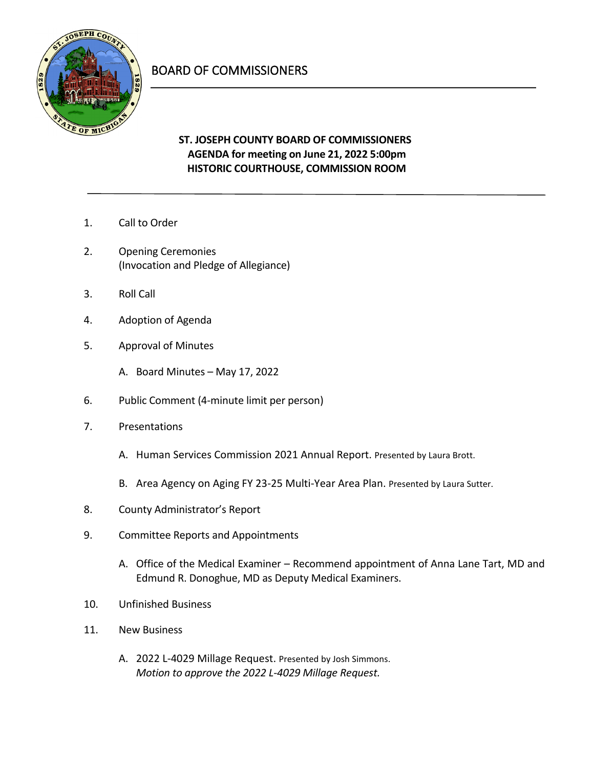

## BOARD OF COMMISSIONERS

## **ST. JOSEPH COUNTY BOARD OF COMMISSIONERS AGENDA for meeting on June 21, 2022 5:00pm HISTORIC COURTHOUSE, COMMISSION ROOM**

- 1. Call to Order
- 2. Opening Ceremonies (Invocation and Pledge of Allegiance)
- 3. Roll Call
- 4. Adoption of Agenda
- 5. Approval of Minutes
	- A. Board Minutes May 17, 2022
- 6. Public Comment (4-minute limit per person)
- 7. Presentations
	- A. Human Services Commission 2021 Annual Report. Presented by Laura Brott.
	- B. Area Agency on Aging FY 23-25 Multi-Year Area Plan. Presented by Laura Sutter.
- 8. County Administrator's Report
- 9. Committee Reports and Appointments
	- A. Office of the Medical Examiner Recommend appointment of Anna Lane Tart, MD and Edmund R. Donoghue, MD as Deputy Medical Examiners.
- 10. Unfinished Business
- 11. New Business
	- A. 2022 L-4029 Millage Request. Presented by Josh Simmons. *Motion to approve the 2022 L-4029 Millage Request.*